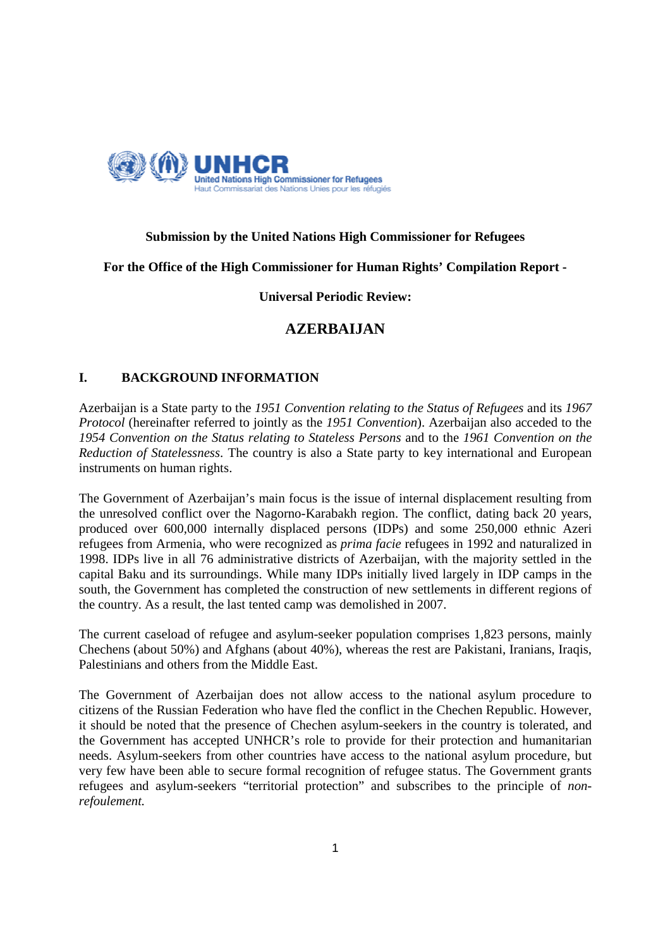

# **Submission by the United Nations High Commissioner for Refugees**

**For the Office of the High Commissioner for Human Rights' Compilation Report -** 

**Universal Periodic Review:** 

# **AZERBAIJAN**

## **I. BACKGROUND INFORMATION**

Azerbaijan is a State party to the *1951 Convention relating to the Status of Refugees* and its *1967 Protocol* (hereinafter referred to jointly as the *1951 Convention*). Azerbaijan also acceded to the *1954 Convention on the Status relating to Stateless Persons* and to the *1961 Convention on the Reduction of Statelessness*. The country is also a State party to key international and European instruments on human rights.

The Government of Azerbaijan's main focus is the issue of internal displacement resulting from the unresolved conflict over the Nagorno-Karabakh region. The conflict, dating back 20 years, produced over 600,000 internally displaced persons (IDPs) and some 250,000 ethnic Azeri refugees from Armenia, who were recognized as *prima facie* refugees in 1992 and naturalized in 1998. IDPs live in all 76 administrative districts of Azerbaijan, with the majority settled in the capital Baku and its surroundings. While many IDPs initially lived largely in IDP camps in the south, the Government has completed the construction of new settlements in different regions of the country. As a result, the last tented camp was demolished in 2007.

The current caseload of refugee and asylum-seeker population comprises 1,823 persons, mainly Chechens (about 50%) and Afghans (about 40%), whereas the rest are Pakistani, Iranians, Iraqis, Palestinians and others from the Middle East.

The Government of Azerbaijan does not allow access to the national asylum procedure to citizens of the Russian Federation who have fled the conflict in the Chechen Republic. However, it should be noted that the presence of Chechen asylum-seekers in the country is tolerated, and the Government has accepted UNHCR's role to provide for their protection and humanitarian needs. Asylum-seekers from other countries have access to the national asylum procedure, but very few have been able to secure formal recognition of refugee status. The Government grants refugees and asylum-seekers "territorial protection" and subscribes to the principle of *nonrefoulement.*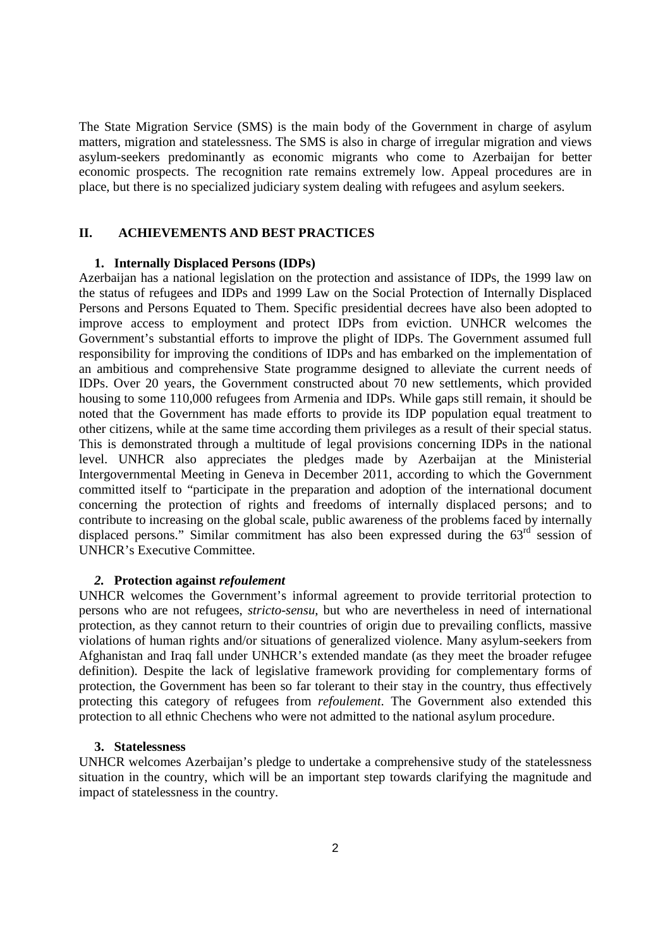The State Migration Service (SMS) is the main body of the Government in charge of asylum matters, migration and statelessness. The SMS is also in charge of irregular migration and views asylum-seekers predominantly as economic migrants who come to Azerbaijan for better economic prospects. The recognition rate remains extremely low. Appeal procedures are in place, but there is no specialized judiciary system dealing with refugees and asylum seekers.

## **II. ACHIEVEMENTS AND BEST PRACTICES**

#### **1. Internally Displaced Persons (IDPs)**

Azerbaijan has a national legislation on the protection and assistance of IDPs, the 1999 law on the status of refugees and IDPs and 1999 Law on the Social Protection of Internally Displaced Persons and Persons Equated to Them. Specific presidential decrees have also been adopted to improve access to employment and protect IDPs from eviction. UNHCR welcomes the Government's substantial efforts to improve the plight of IDPs. The Government assumed full responsibility for improving the conditions of IDPs and has embarked on the implementation of an ambitious and comprehensive State programme designed to alleviate the current needs of IDPs. Over 20 years, the Government constructed about 70 new settlements, which provided housing to some 110,000 refugees from Armenia and IDPs. While gaps still remain, it should be noted that the Government has made efforts to provide its IDP population equal treatment to other citizens, while at the same time according them privileges as a result of their special status. This is demonstrated through a multitude of legal provisions concerning IDPs in the national level. UNHCR also appreciates the pledges made by Azerbaijan at the Ministerial Intergovernmental Meeting in Geneva in December 2011, according to which the Government committed itself to "participate in the preparation and adoption of the international document concerning the protection of rights and freedoms of internally displaced persons; and to contribute to increasing on the global scale, public awareness of the problems faced by internally displaced persons." Similar commitment has also been expressed during the  $63<sup>rd</sup>$  session of UNHCR's Executive Committee.

#### *2.* **Protection against** *refoulement*

UNHCR welcomes the Government's informal agreement to provide territorial protection to persons who are not refugees, *stricto-sensu*, but who are nevertheless in need of international protection, as they cannot return to their countries of origin due to prevailing conflicts, massive violations of human rights and/or situations of generalized violence. Many asylum-seekers from Afghanistan and Iraq fall under UNHCR's extended mandate (as they meet the broader refugee definition). Despite the lack of legislative framework providing for complementary forms of protection, the Government has been so far tolerant to their stay in the country, thus effectively protecting this category of refugees from *refoulement*. The Government also extended this protection to all ethnic Chechens who were not admitted to the national asylum procedure.

#### **3. Statelessness**

UNHCR welcomes Azerbaijan's pledge to undertake a comprehensive study of the statelessness situation in the country, which will be an important step towards clarifying the magnitude and impact of statelessness in the country.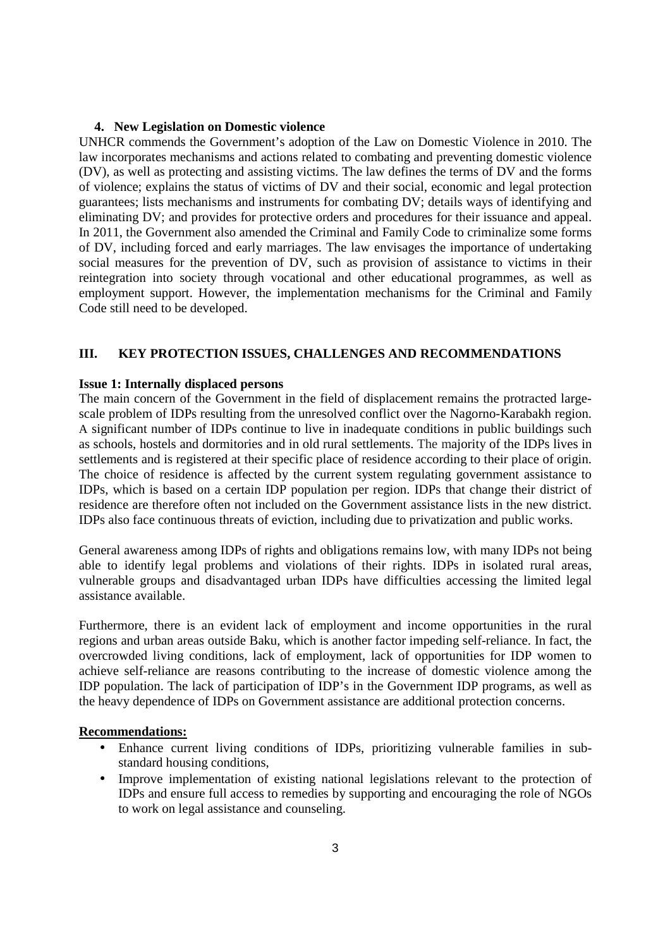### **4. New Legislation on Domestic violence**

UNHCR commends the Government's adoption of the Law on Domestic Violence in 2010. The law incorporates mechanisms and actions related to combating and preventing domestic violence (DV), as well as protecting and assisting victims. The law defines the terms of DV and the forms of violence; explains the status of victims of DV and their social, economic and legal protection guarantees; lists mechanisms and instruments for combating DV; details ways of identifying and eliminating DV; and provides for protective orders and procedures for their issuance and appeal. In 2011, the Government also amended the Criminal and Family Code to criminalize some forms of DV, including forced and early marriages. The law envisages the importance of undertaking social measures for the prevention of DV, such as provision of assistance to victims in their reintegration into society through vocational and other educational programmes, as well as employment support. However, the implementation mechanisms for the Criminal and Family Code still need to be developed.

## **III. KEY PROTECTION ISSUES, CHALLENGES AND RECOMMENDATIONS**

## **Issue 1: Internally displaced persons**

The main concern of the Government in the field of displacement remains the protracted largescale problem of IDPs resulting from the unresolved conflict over the Nagorno-Karabakh region. A significant number of IDPs continue to live in inadequate conditions in public buildings such as schools, hostels and dormitories and in old rural settlements. The majority of the IDPs lives in settlements and is registered at their specific place of residence according to their place of origin. The choice of residence is affected by the current system regulating government assistance to IDPs, which is based on a certain IDP population per region. IDPs that change their district of residence are therefore often not included on the Government assistance lists in the new district. IDPs also face continuous threats of eviction, including due to privatization and public works.

General awareness among IDPs of rights and obligations remains low, with many IDPs not being able to identify legal problems and violations of their rights. IDPs in isolated rural areas, vulnerable groups and disadvantaged urban IDPs have difficulties accessing the limited legal assistance available.

Furthermore, there is an evident lack of employment and income opportunities in the rural regions and urban areas outside Baku, which is another factor impeding self-reliance. In fact, the overcrowded living conditions, lack of employment, lack of opportunities for IDP women to achieve self-reliance are reasons contributing to the increase of domestic violence among the IDP population. The lack of participation of IDP's in the Government IDP programs, as well as the heavy dependence of IDPs on Government assistance are additional protection concerns.

#### **Recommendations:**

- Enhance current living conditions of IDPs, prioritizing vulnerable families in substandard housing conditions,
- Improve implementation of existing national legislations relevant to the protection of IDPs and ensure full access to remedies by supporting and encouraging the role of NGOs to work on legal assistance and counseling.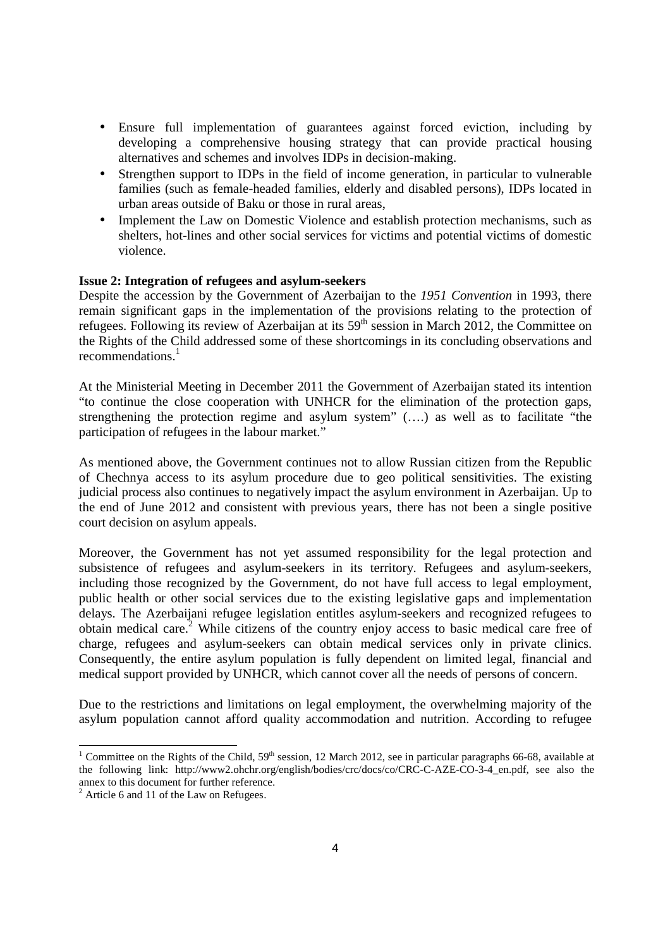- Ensure full implementation of guarantees against forced eviction, including by developing a comprehensive housing strategy that can provide practical housing alternatives and schemes and involves IDPs in decision-making.
- Strengthen support to IDPs in the field of income generation, in particular to vulnerable families (such as female-headed families, elderly and disabled persons), IDPs located in urban areas outside of Baku or those in rural areas,
- Implement the Law on Domestic Violence and establish protection mechanisms, such as shelters, hot-lines and other social services for victims and potential victims of domestic violence.

### **Issue 2: Integration of refugees and asylum-seekers**

Despite the accession by the Government of Azerbaijan to the *1951 Convention* in 1993, there remain significant gaps in the implementation of the provisions relating to the protection of refugees. Following its review of Azerbaijan at its  $59<sup>th</sup>$  session in March 2012, the Committee on the Rights of the Child addressed some of these shortcomings in its concluding observations and recommendations.<sup>1</sup>

At the Ministerial Meeting in December 2011 the Government of Azerbaijan stated its intention "to continue the close cooperation with UNHCR for the elimination of the protection gaps, strengthening the protection regime and asylum system" (….) as well as to facilitate "the participation of refugees in the labour market."

As mentioned above, the Government continues not to allow Russian citizen from the Republic of Chechnya access to its asylum procedure due to geo political sensitivities. The existing judicial process also continues to negatively impact the asylum environment in Azerbaijan. Up to the end of June 2012 and consistent with previous years, there has not been a single positive court decision on asylum appeals.

Moreover, the Government has not yet assumed responsibility for the legal protection and subsistence of refugees and asylum-seekers in its territory. Refugees and asylum-seekers, including those recognized by the Government, do not have full access to legal employment, public health or other social services due to the existing legislative gaps and implementation delays. The Azerbaijani refugee legislation entitles asylum-seekers and recognized refugees to obtain medical care.<sup>2</sup> While citizens of the country enjoy access to basic medical care free of charge, refugees and asylum-seekers can obtain medical services only in private clinics. Consequently, the entire asylum population is fully dependent on limited legal, financial and medical support provided by UNHCR, which cannot cover all the needs of persons of concern.

Due to the restrictions and limitations on legal employment, the overwhelming majority of the asylum population cannot afford quality accommodation and nutrition. According to refugee

1

<sup>&</sup>lt;sup>1</sup> Committee on the Rights of the Child,  $59<sup>th</sup>$  session, 12 March 2012, see in particular paragraphs 66-68, available at the following link: http://www2.ohchr.org/english/bodies/crc/docs/co/CRC-C-AZE-CO-3-4\_en.pdf, see also the annex to this document for further reference.

 $2$  Article 6 and 11 of the Law on Refugees.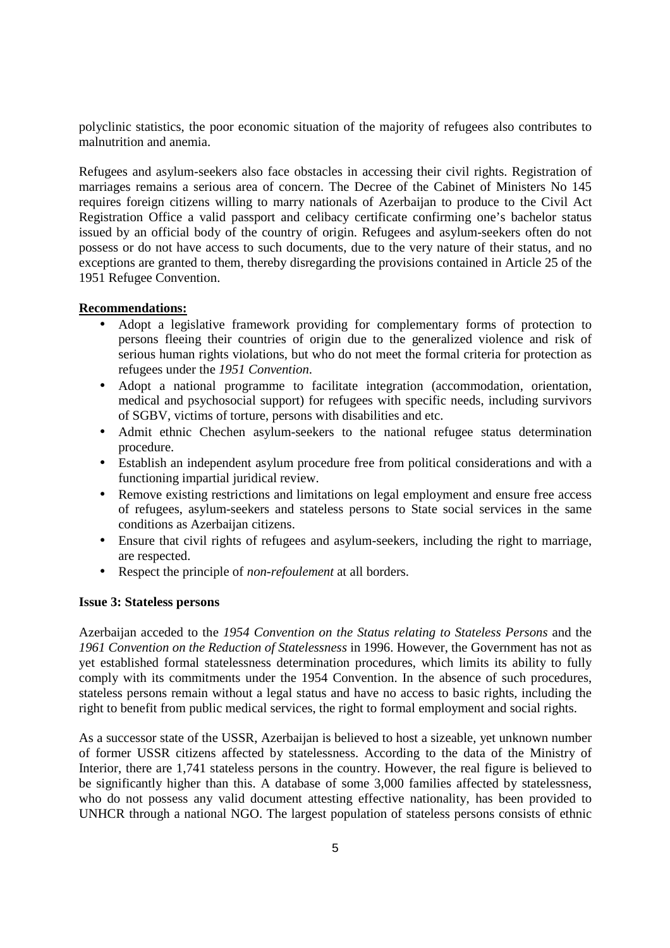polyclinic statistics, the poor economic situation of the majority of refugees also contributes to malnutrition and anemia.

Refugees and asylum-seekers also face obstacles in accessing their civil rights. Registration of marriages remains a serious area of concern. The Decree of the Cabinet of Ministers No 145 requires foreign citizens willing to marry nationals of Azerbaijan to produce to the Civil Act Registration Office a valid passport and celibacy certificate confirming one's bachelor status issued by an official body of the country of origin. Refugees and asylum-seekers often do not possess or do not have access to such documents, due to the very nature of their status, and no exceptions are granted to them, thereby disregarding the provisions contained in Article 25 of the 1951 Refugee Convention.

## **Recommendations:**

- Adopt a legislative framework providing for complementary forms of protection to persons fleeing their countries of origin due to the generalized violence and risk of serious human rights violations, but who do not meet the formal criteria for protection as refugees under the *1951 Convention*.
- Adopt a national programme to facilitate integration (accommodation, orientation, medical and psychosocial support) for refugees with specific needs, including survivors of SGBV, victims of torture, persons with disabilities and etc.
- Admit ethnic Chechen asylum-seekers to the national refugee status determination procedure.
- Establish an independent asylum procedure free from political considerations and with a functioning impartial juridical review.
- Remove existing restrictions and limitations on legal employment and ensure free access of refugees, asylum-seekers and stateless persons to State social services in the same conditions as Azerbaijan citizens.
- Ensure that civil rights of refugees and asylum-seekers, including the right to marriage, are respected.
- Respect the principle of *non-refoulement* at all borders.

### **Issue 3: Stateless persons**

Azerbaijan acceded to the *1954 Convention on the Status relating to Stateless Persons* and the *1961 Convention on the Reduction of Statelessness* in 1996. However, the Government has not as yet established formal statelessness determination procedures, which limits its ability to fully comply with its commitments under the 1954 Convention. In the absence of such procedures, stateless persons remain without a legal status and have no access to basic rights, including the right to benefit from public medical services, the right to formal employment and social rights.

As a successor state of the USSR, Azerbaijan is believed to host a sizeable, yet unknown number of former USSR citizens affected by statelessness. According to the data of the Ministry of Interior, there are 1,741 stateless persons in the country. However, the real figure is believed to be significantly higher than this. A database of some 3,000 families affected by statelessness, who do not possess any valid document attesting effective nationality, has been provided to UNHCR through a national NGO. The largest population of stateless persons consists of ethnic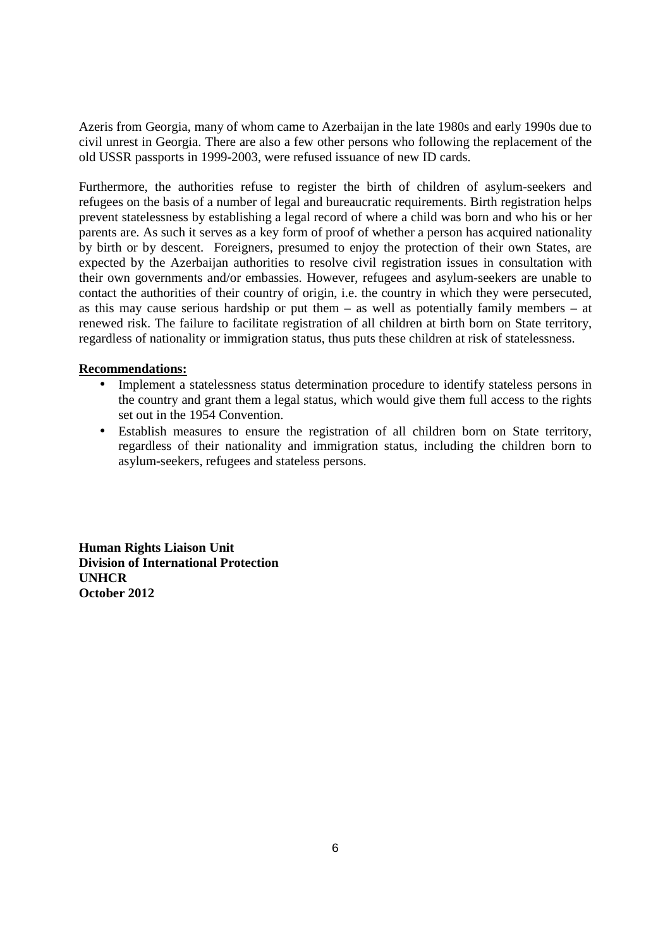Azeris from Georgia, many of whom came to Azerbaijan in the late 1980s and early 1990s due to civil unrest in Georgia. There are also a few other persons who following the replacement of the old USSR passports in 1999-2003, were refused issuance of new ID cards.

Furthermore, the authorities refuse to register the birth of children of asylum-seekers and refugees on the basis of a number of legal and bureaucratic requirements. Birth registration helps prevent statelessness by establishing a legal record of where a child was born and who his or her parents are. As such it serves as a key form of proof of whether a person has acquired nationality by birth or by descent. Foreigners, presumed to enjoy the protection of their own States, are expected by the Azerbaijan authorities to resolve civil registration issues in consultation with their own governments and/or embassies. However, refugees and asylum-seekers are unable to contact the authorities of their country of origin, i.e. the country in which they were persecuted, as this may cause serious hardship or put them – as well as potentially family members – at renewed risk. The failure to facilitate registration of all children at birth born on State territory, regardless of nationality or immigration status, thus puts these children at risk of statelessness.

## **Recommendations:**

- Implement a statelessness status determination procedure to identify stateless persons in the country and grant them a legal status, which would give them full access to the rights set out in the 1954 Convention.
- Establish measures to ensure the registration of all children born on State territory, regardless of their nationality and immigration status, including the children born to asylum-seekers, refugees and stateless persons.

**Human Rights Liaison Unit Division of International Protection UNHCR October 2012**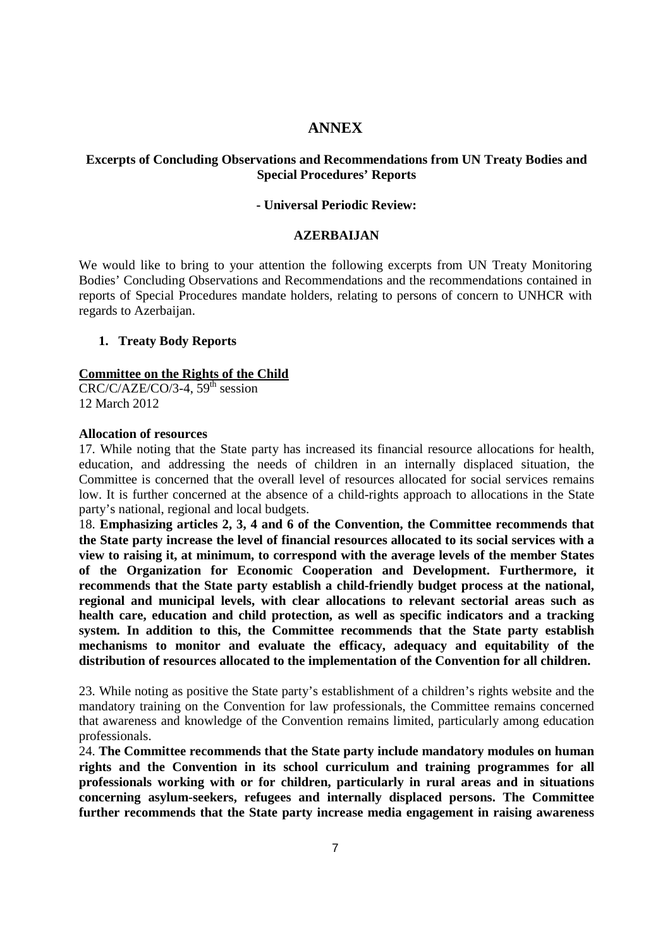## **ANNEX**

### **Excerpts of Concluding Observations and Recommendations from UN Treaty Bodies and Special Procedures' Reports**

### **- Universal Periodic Review:**

#### **AZERBAIJAN**

We would like to bring to your attention the following excerpts from UN Treaty Monitoring Bodies' Concluding Observations and Recommendations and the recommendations contained in reports of Special Procedures mandate holders, relating to persons of concern to UNHCR with regards to Azerbaijan.

### **1. Treaty Body Reports**

## **Committee on the Rights of the Child**

 $CRC/C/AZE/CO/3-4$ ,  $59<sup>th</sup>$  session 12 March 2012

### **Allocation of resources**

17. While noting that the State party has increased its financial resource allocations for health, education, and addressing the needs of children in an internally displaced situation, the Committee is concerned that the overall level of resources allocated for social services remains low. It is further concerned at the absence of a child-rights approach to allocations in the State party's national, regional and local budgets.

18. **Emphasizing articles 2, 3, 4 and 6 of the Convention, the Committee recommends that the State party increase the level of financial resources allocated to its social services with a view to raising it, at minimum, to correspond with the average levels of the member States of the Organization for Economic Cooperation and Development. Furthermore, it recommends that the State party establish a child-friendly budget process at the national, regional and municipal levels, with clear allocations to relevant sectorial areas such as health care, education and child protection, as well as specific indicators and a tracking system. In addition to this, the Committee recommends that the State party establish mechanisms to monitor and evaluate the efficacy, adequacy and equitability of the distribution of resources allocated to the implementation of the Convention for all children.** 

23. While noting as positive the State party's establishment of a children's rights website and the mandatory training on the Convention for law professionals, the Committee remains concerned that awareness and knowledge of the Convention remains limited, particularly among education professionals.

24. **The Committee recommends that the State party include mandatory modules on human rights and the Convention in its school curriculum and training programmes for all professionals working with or for children, particularly in rural areas and in situations concerning asylum-seekers, refugees and internally displaced persons. The Committee further recommends that the State party increase media engagement in raising awareness**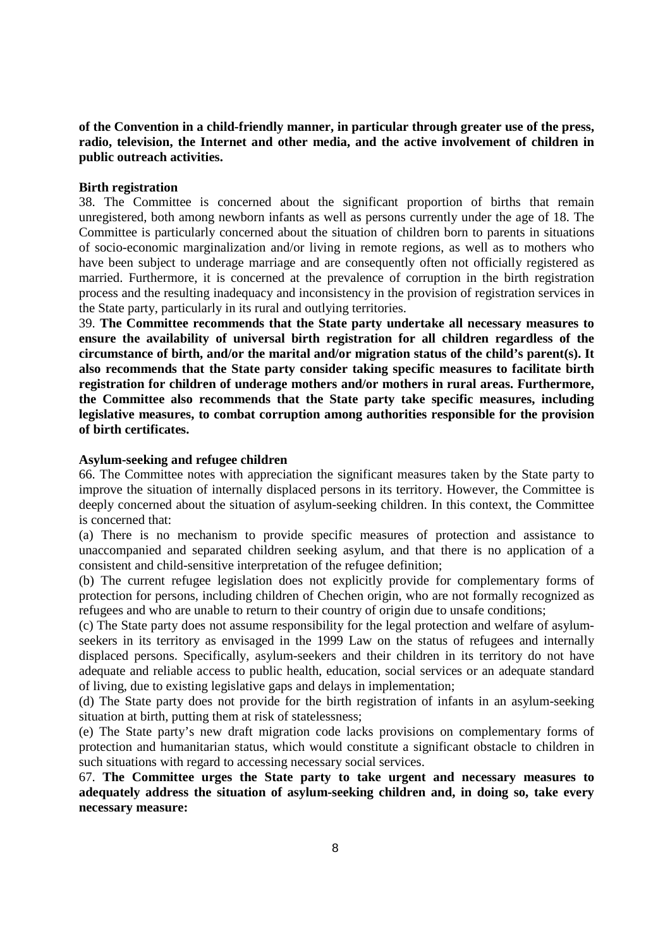## **of the Convention in a child-friendly manner, in particular through greater use of the press, radio, television, the Internet and other media, and the active involvement of children in public outreach activities.**

#### **Birth registration**

38. The Committee is concerned about the significant proportion of births that remain unregistered, both among newborn infants as well as persons currently under the age of 18. The Committee is particularly concerned about the situation of children born to parents in situations of socio-economic marginalization and/or living in remote regions, as well as to mothers who have been subject to underage marriage and are consequently often not officially registered as married. Furthermore, it is concerned at the prevalence of corruption in the birth registration process and the resulting inadequacy and inconsistency in the provision of registration services in the State party, particularly in its rural and outlying territories.

39. **The Committee recommends that the State party undertake all necessary measures to ensure the availability of universal birth registration for all children regardless of the circumstance of birth, and/or the marital and/or migration status of the child's parent(s). It also recommends that the State party consider taking specific measures to facilitate birth registration for children of underage mothers and/or mothers in rural areas. Furthermore, the Committee also recommends that the State party take specific measures, including legislative measures, to combat corruption among authorities responsible for the provision of birth certificates.** 

### **Asylum-seeking and refugee children**

66. The Committee notes with appreciation the significant measures taken by the State party to improve the situation of internally displaced persons in its territory. However, the Committee is deeply concerned about the situation of asylum-seeking children. In this context, the Committee is concerned that:

(a) There is no mechanism to provide specific measures of protection and assistance to unaccompanied and separated children seeking asylum, and that there is no application of a consistent and child-sensitive interpretation of the refugee definition;

(b) The current refugee legislation does not explicitly provide for complementary forms of protection for persons, including children of Chechen origin, who are not formally recognized as refugees and who are unable to return to their country of origin due to unsafe conditions;

(c) The State party does not assume responsibility for the legal protection and welfare of asylumseekers in its territory as envisaged in the 1999 Law on the status of refugees and internally displaced persons. Specifically, asylum-seekers and their children in its territory do not have adequate and reliable access to public health, education, social services or an adequate standard of living, due to existing legislative gaps and delays in implementation;

(d) The State party does not provide for the birth registration of infants in an asylum-seeking situation at birth, putting them at risk of statelessness;

(e) The State party's new draft migration code lacks provisions on complementary forms of protection and humanitarian status, which would constitute a significant obstacle to children in such situations with regard to accessing necessary social services.

67. **The Committee urges the State party to take urgent and necessary measures to adequately address the situation of asylum-seeking children and, in doing so, take every necessary measure:**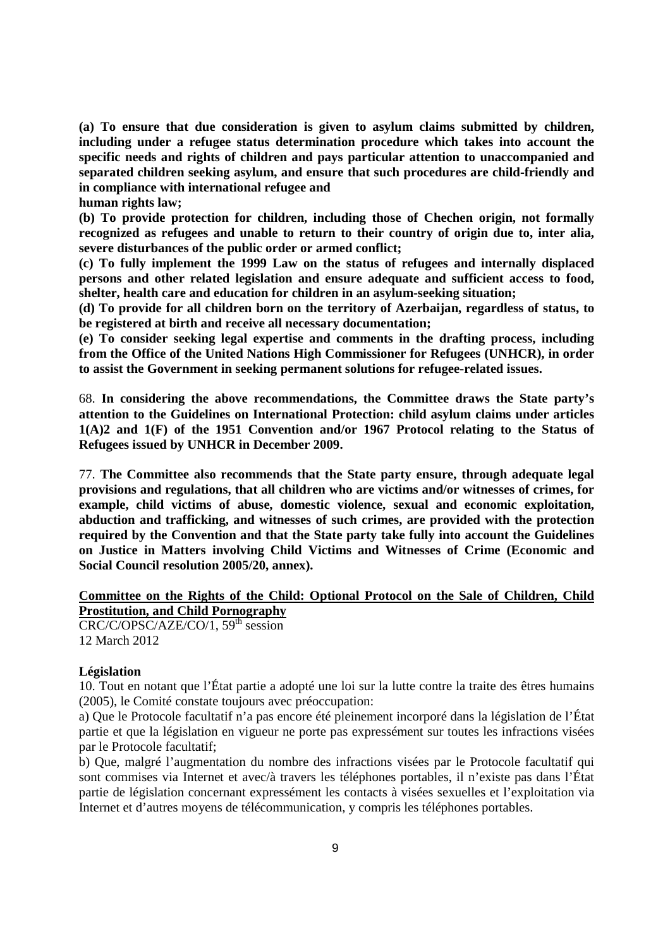**(a) To ensure that due consideration is given to asylum claims submitted by children, including under a refugee status determination procedure which takes into account the specific needs and rights of children and pays particular attention to unaccompanied and separated children seeking asylum, and ensure that such procedures are child-friendly and in compliance with international refugee and** 

**human rights law;** 

**(b) To provide protection for children, including those of Chechen origin, not formally recognized as refugees and unable to return to their country of origin due to, inter alia, severe disturbances of the public order or armed conflict;** 

**(c) To fully implement the 1999 Law on the status of refugees and internally displaced persons and other related legislation and ensure adequate and sufficient access to food, shelter, health care and education for children in an asylum-seeking situation;** 

**(d) To provide for all children born on the territory of Azerbaijan, regardless of status, to be registered at birth and receive all necessary documentation;** 

**(e) To consider seeking legal expertise and comments in the drafting process, including from the Office of the United Nations High Commissioner for Refugees (UNHCR), in order to assist the Government in seeking permanent solutions for refugee-related issues.** 

68. **In considering the above recommendations, the Committee draws the State party's attention to the Guidelines on International Protection: child asylum claims under articles 1(A)2 and 1(F) of the 1951 Convention and/or 1967 Protocol relating to the Status of Refugees issued by UNHCR in December 2009.** 

77. **The Committee also recommends that the State party ensure, through adequate legal provisions and regulations, that all children who are victims and/or witnesses of crimes, for example, child victims of abuse, domestic violence, sexual and economic exploitation, abduction and trafficking, and witnesses of such crimes, are provided with the protection required by the Convention and that the State party take fully into account the Guidelines on Justice in Matters involving Child Victims and Witnesses of Crime (Economic and Social Council resolution 2005/20, annex).** 

**Committee on the Rights of the Child: Optional Protocol on the Sale of Children, Child Prostitution, and Child Pornography** 

 $CRC/C/OPSC/AZE/CO/1, 59<sup>th</sup> session$ 12 March 2012

### **Législation**

10. Tout en notant que l'État partie a adopté une loi sur la lutte contre la traite des êtres humains (2005), le Comité constate toujours avec préoccupation:

a) Que le Protocole facultatif n'a pas encore été pleinement incorporé dans la législation de l'État partie et que la législation en vigueur ne porte pas expressément sur toutes les infractions visées par le Protocole facultatif;

b) Que, malgré l'augmentation du nombre des infractions visées par le Protocole facultatif qui sont commises via Internet et avec/à travers les téléphones portables, il n'existe pas dans l'État partie de législation concernant expressément les contacts à visées sexuelles et l'exploitation via Internet et d'autres moyens de télécommunication, y compris les téléphones portables.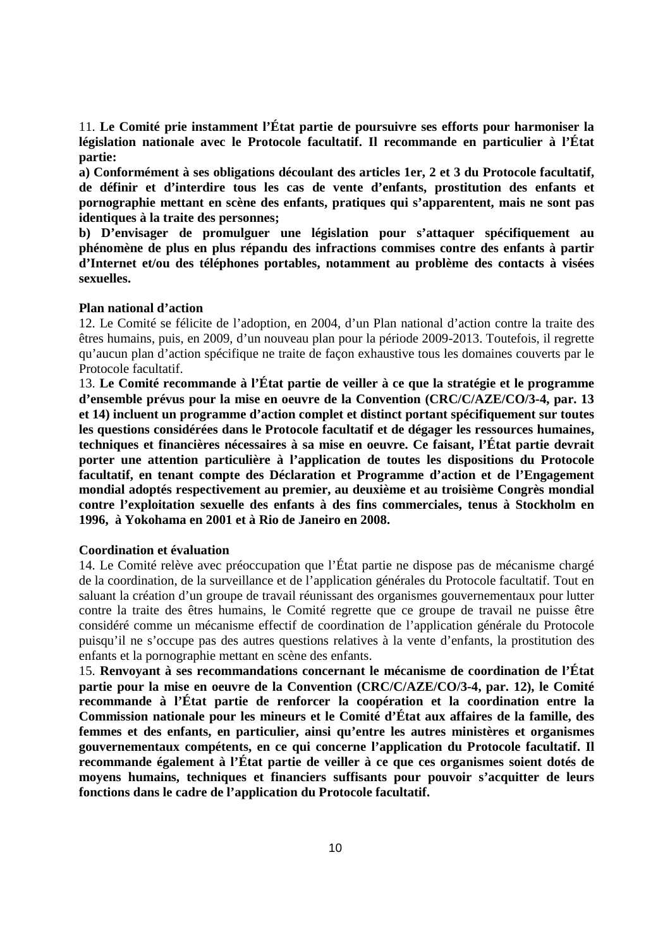11. **Le Comité prie instamment l'État partie de poursuivre ses efforts pour harmoniser la législation nationale avec le Protocole facultatif. Il recommande en particulier à l'État partie:** 

**a) Conformément à ses obligations découlant des articles 1er, 2 et 3 du Protocole facultatif, de définir et d'interdire tous les cas de vente d'enfants, prostitution des enfants et pornographie mettant en scène des enfants, pratiques qui s'apparentent, mais ne sont pas identiques à la traite des personnes;** 

**b) D'envisager de promulguer une législation pour s'attaquer spécifiquement au phénomène de plus en plus répandu des infractions commises contre des enfants à partir d'Internet et/ou des téléphones portables, notamment au problème des contacts à visées sexuelles.** 

### **Plan national d'action**

12. Le Comité se félicite de l'adoption, en 2004, d'un Plan national d'action contre la traite des êtres humains, puis, en 2009, d'un nouveau plan pour la période 2009-2013. Toutefois, il regrette qu'aucun plan d'action spécifique ne traite de façon exhaustive tous les domaines couverts par le Protocole facultatif.

13. **Le Comité recommande à l'État partie de veiller à ce que la stratégie et le programme d'ensemble prévus pour la mise en oeuvre de la Convention (CRC/C/AZE/CO/3-4, par. 13 et 14) incluent un programme d'action complet et distinct portant spécifiquement sur toutes les questions considérées dans le Protocole facultatif et de dégager les ressources humaines, techniques et financières nécessaires à sa mise en oeuvre. Ce faisant, l'État partie devrait porter une attention particulière à l'application de toutes les dispositions du Protocole facultatif, en tenant compte des Déclaration et Programme d'action et de l'Engagement mondial adoptés respectivement au premier, au deuxième et au troisième Congrès mondial contre l'exploitation sexuelle des enfants à des fins commerciales, tenus à Stockholm en 1996, à Yokohama en 2001 et à Rio de Janeiro en 2008.** 

#### **Coordination et évaluation**

14. Le Comité relève avec préoccupation que l'État partie ne dispose pas de mécanisme chargé de la coordination, de la surveillance et de l'application générales du Protocole facultatif. Tout en saluant la création d'un groupe de travail réunissant des organismes gouvernementaux pour lutter contre la traite des êtres humains, le Comité regrette que ce groupe de travail ne puisse être considéré comme un mécanisme effectif de coordination de l'application générale du Protocole puisqu'il ne s'occupe pas des autres questions relatives à la vente d'enfants, la prostitution des enfants et la pornographie mettant en scène des enfants.

15. **Renvoyant à ses recommandations concernant le mécanisme de coordination de l'État partie pour la mise en oeuvre de la Convention (CRC/C/AZE/CO/3-4, par. 12), le Comité recommande à l'État partie de renforcer la coopération et la coordination entre la Commission nationale pour les mineurs et le Comité d'État aux affaires de la famille, des femmes et des enfants, en particulier, ainsi qu'entre les autres ministères et organismes gouvernementaux compétents, en ce qui concerne l'application du Protocole facultatif. Il recommande également à l'État partie de veiller à ce que ces organismes soient dotés de moyens humains, techniques et financiers suffisants pour pouvoir s'acquitter de leurs fonctions dans le cadre de l'application du Protocole facultatif.**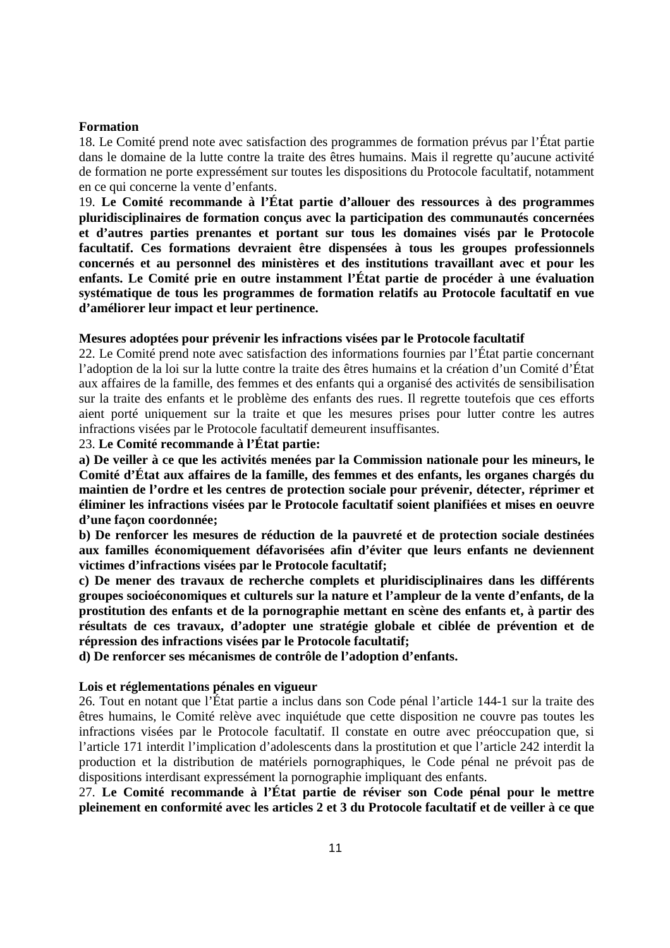#### **Formation**

18. Le Comité prend note avec satisfaction des programmes de formation prévus par l'État partie dans le domaine de la lutte contre la traite des êtres humains. Mais il regrette qu'aucune activité de formation ne porte expressément sur toutes les dispositions du Protocole facultatif, notamment en ce qui concerne la vente d'enfants.

19. **Le Comité recommande à l'État partie d'allouer des ressources à des programmes pluridisciplinaires de formation conçus avec la participation des communautés concernées et d'autres parties prenantes et portant sur tous les domaines visés par le Protocole facultatif. Ces formations devraient être dispensées à tous les groupes professionnels concernés et au personnel des ministères et des institutions travaillant avec et pour les enfants. Le Comité prie en outre instamment l'État partie de procéder à une évaluation systématique de tous les programmes de formation relatifs au Protocole facultatif en vue d'améliorer leur impact et leur pertinence.** 

### **Mesures adoptées pour prévenir les infractions visées par le Protocole facultatif**

22. Le Comité prend note avec satisfaction des informations fournies par l'État partie concernant l'adoption de la loi sur la lutte contre la traite des êtres humains et la création d'un Comité d'État aux affaires de la famille, des femmes et des enfants qui a organisé des activités de sensibilisation sur la traite des enfants et le problème des enfants des rues. Il regrette toutefois que ces efforts aient porté uniquement sur la traite et que les mesures prises pour lutter contre les autres infractions visées par le Protocole facultatif demeurent insuffisantes.

### 23. **Le Comité recommande à l'État partie:**

**a) De veiller à ce que les activités menées par la Commission nationale pour les mineurs, le Comité d'État aux affaires de la famille, des femmes et des enfants, les organes chargés du maintien de l'ordre et les centres de protection sociale pour prévenir, détecter, réprimer et éliminer les infractions visées par le Protocole facultatif soient planifiées et mises en oeuvre d'une façon coordonnée;** 

**b) De renforcer les mesures de réduction de la pauvreté et de protection sociale destinées aux familles économiquement défavorisées afin d'éviter que leurs enfants ne deviennent victimes d'infractions visées par le Protocole facultatif;** 

**c) De mener des travaux de recherche complets et pluridisciplinaires dans les différents groupes socioéconomiques et culturels sur la nature et l'ampleur de la vente d'enfants, de la prostitution des enfants et de la pornographie mettant en scène des enfants et, à partir des résultats de ces travaux, d'adopter une stratégie globale et ciblée de prévention et de répression des infractions visées par le Protocole facultatif;** 

**d) De renforcer ses mécanismes de contrôle de l'adoption d'enfants.** 

### **Lois et réglementations pénales en vigueur**

26. Tout en notant que l'État partie a inclus dans son Code pénal l'article 144-1 sur la traite des êtres humains, le Comité relève avec inquiétude que cette disposition ne couvre pas toutes les infractions visées par le Protocole facultatif. Il constate en outre avec préoccupation que, si l'article 171 interdit l'implication d'adolescents dans la prostitution et que l'article 242 interdit la production et la distribution de matériels pornographiques, le Code pénal ne prévoit pas de dispositions interdisant expressément la pornographie impliquant des enfants.

27. **Le Comité recommande à l'État partie de réviser son Code pénal pour le mettre pleinement en conformité avec les articles 2 et 3 du Protocole facultatif et de veiller à ce que**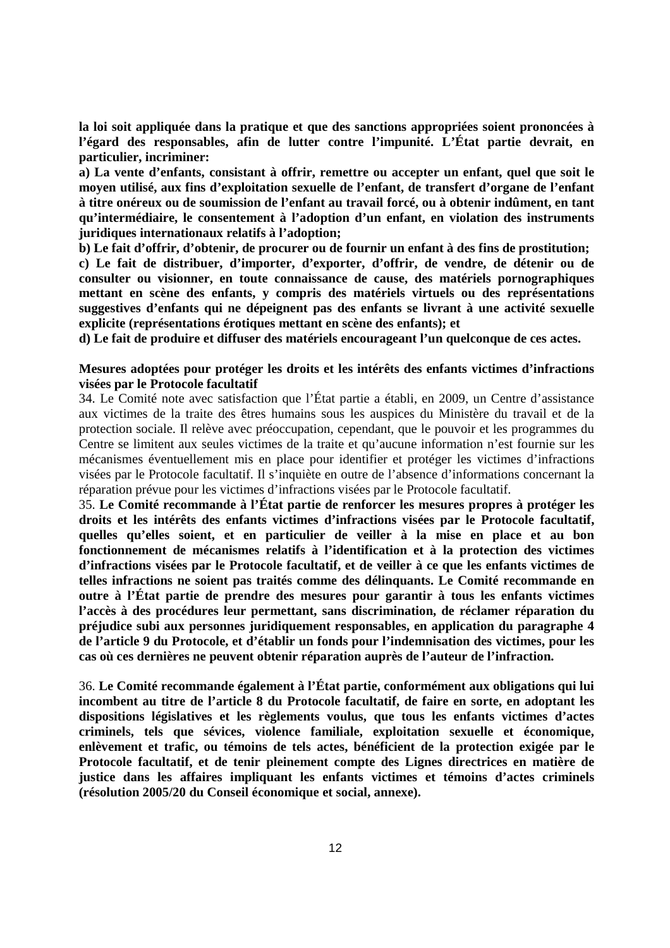**la loi soit appliquée dans la pratique et que des sanctions appropriées soient prononcées à l'égard des responsables, afin de lutter contre l'impunité. L'État partie devrait, en particulier, incriminer:** 

**a) La vente d'enfants, consistant à offrir, remettre ou accepter un enfant, quel que soit le moyen utilisé, aux fins d'exploitation sexuelle de l'enfant, de transfert d'organe de l'enfant à titre onéreux ou de soumission de l'enfant au travail forcé, ou à obtenir indûment, en tant qu'intermédiaire, le consentement à l'adoption d'un enfant, en violation des instruments juridiques internationaux relatifs à l'adoption;** 

**b) Le fait d'offrir, d'obtenir, de procurer ou de fournir un enfant à des fins de prostitution;** 

**c) Le fait de distribuer, d'importer, d'exporter, d'offrir, de vendre, de détenir ou de consulter ou visionner, en toute connaissance de cause, des matériels pornographiques mettant en scène des enfants, y compris des matériels virtuels ou des représentations suggestives d'enfants qui ne dépeignent pas des enfants se livrant à une activité sexuelle explicite (représentations érotiques mettant en scène des enfants); et** 

**d) Le fait de produire et diffuser des matériels encourageant l'un quelconque de ces actes.** 

## **Mesures adoptées pour protéger les droits et les intérêts des enfants victimes d'infractions visées par le Protocole facultatif**

34. Le Comité note avec satisfaction que l'État partie a établi, en 2009, un Centre d'assistance aux victimes de la traite des êtres humains sous les auspices du Ministère du travail et de la protection sociale. Il relève avec préoccupation, cependant, que le pouvoir et les programmes du Centre se limitent aux seules victimes de la traite et qu'aucune information n'est fournie sur les mécanismes éventuellement mis en place pour identifier et protéger les victimes d'infractions visées par le Protocole facultatif. Il s'inquiète en outre de l'absence d'informations concernant la réparation prévue pour les victimes d'infractions visées par le Protocole facultatif.

35. **Le Comité recommande à l'État partie de renforcer les mesures propres à protéger les droits et les intérêts des enfants victimes d'infractions visées par le Protocole facultatif, quelles qu'elles soient, et en particulier de veiller à la mise en place et au bon fonctionnement de mécanismes relatifs à l'identification et à la protection des victimes d'infractions visées par le Protocole facultatif, et de veiller à ce que les enfants victimes de telles infractions ne soient pas traités comme des délinquants. Le Comité recommande en outre à l'État partie de prendre des mesures pour garantir à tous les enfants victimes l'accès à des procédures leur permettant, sans discrimination, de réclamer réparation du préjudice subi aux personnes juridiquement responsables, en application du paragraphe 4 de l'article 9 du Protocole, et d'établir un fonds pour l'indemnisation des victimes, pour les cas où ces dernières ne peuvent obtenir réparation auprès de l'auteur de l'infraction.** 

36. **Le Comité recommande également à l'État partie, conformément aux obligations qui lui incombent au titre de l'article 8 du Protocole facultatif, de faire en sorte, en adoptant les dispositions législatives et les règlements voulus, que tous les enfants victimes d'actes criminels, tels que sévices, violence familiale, exploitation sexuelle et économique, enlèvement et trafic, ou témoins de tels actes, bénéficient de la protection exigée par le Protocole facultatif, et de tenir pleinement compte des Lignes directrices en matière de justice dans les affaires impliquant les enfants victimes et témoins d'actes criminels (résolution 2005/20 du Conseil économique et social, annexe).**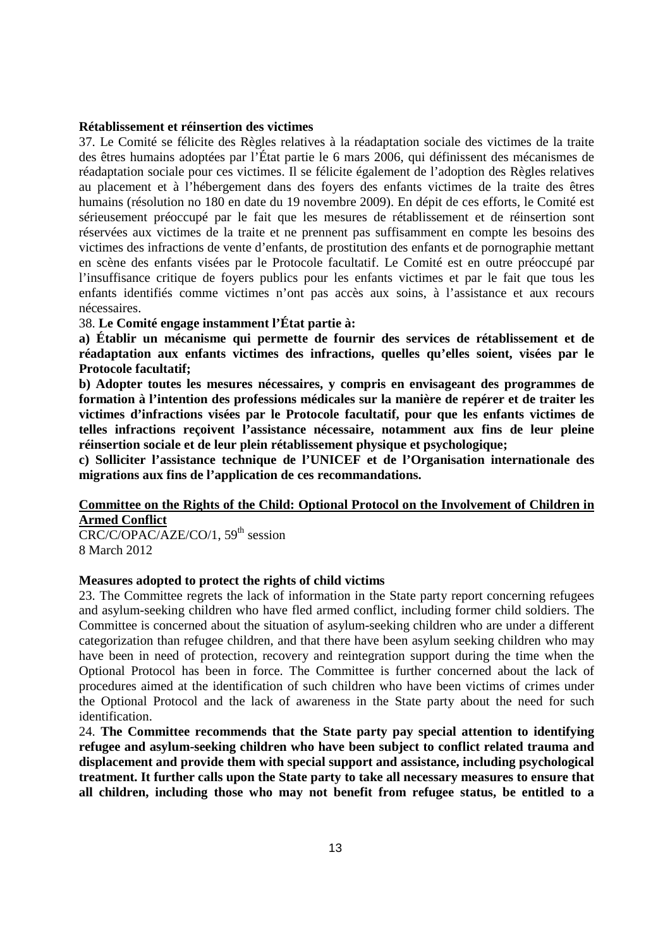### **Rétablissement et réinsertion des victimes**

37. Le Comité se félicite des Règles relatives à la réadaptation sociale des victimes de la traite des êtres humains adoptées par l'État partie le 6 mars 2006, qui définissent des mécanismes de réadaptation sociale pour ces victimes. Il se félicite également de l'adoption des Règles relatives au placement et à l'hébergement dans des foyers des enfants victimes de la traite des êtres humains (résolution no 180 en date du 19 novembre 2009). En dépit de ces efforts, le Comité est sérieusement préoccupé par le fait que les mesures de rétablissement et de réinsertion sont réservées aux victimes de la traite et ne prennent pas suffisamment en compte les besoins des victimes des infractions de vente d'enfants, de prostitution des enfants et de pornographie mettant en scène des enfants visées par le Protocole facultatif. Le Comité est en outre préoccupé par l'insuffisance critique de foyers publics pour les enfants victimes et par le fait que tous les enfants identifiés comme victimes n'ont pas accès aux soins, à l'assistance et aux recours nécessaires.

38. **Le Comité engage instamment l'État partie à:** 

**a) Établir un mécanisme qui permette de fournir des services de rétablissement et de réadaptation aux enfants victimes des infractions, quelles qu'elles soient, visées par le Protocole facultatif;** 

**b) Adopter toutes les mesures nécessaires, y compris en envisageant des programmes de formation à l'intention des professions médicales sur la manière de repérer et de traiter les victimes d'infractions visées par le Protocole facultatif, pour que les enfants victimes de telles infractions reçoivent l'assistance nécessaire, notamment aux fins de leur pleine réinsertion sociale et de leur plein rétablissement physique et psychologique;** 

**c) Solliciter l'assistance technique de l'UNICEF et de l'Organisation internationale des migrations aux fins de l'application de ces recommandations.** 

## **Committee on the Rights of the Child: Optional Protocol on the Involvement of Children in Armed Conflict**

 $CRC/C/OPAC/AZE/CO/1, 59<sup>th</sup> session$ 8 March 2012

#### **Measures adopted to protect the rights of child victims**

23. The Committee regrets the lack of information in the State party report concerning refugees and asylum-seeking children who have fled armed conflict, including former child soldiers. The Committee is concerned about the situation of asylum-seeking children who are under a different categorization than refugee children, and that there have been asylum seeking children who may have been in need of protection, recovery and reintegration support during the time when the Optional Protocol has been in force. The Committee is further concerned about the lack of procedures aimed at the identification of such children who have been victims of crimes under the Optional Protocol and the lack of awareness in the State party about the need for such identification.

24. **The Committee recommends that the State party pay special attention to identifying refugee and asylum-seeking children who have been subject to conflict related trauma and displacement and provide them with special support and assistance, including psychological treatment. It further calls upon the State party to take all necessary measures to ensure that all children, including those who may not benefit from refugee status, be entitled to a**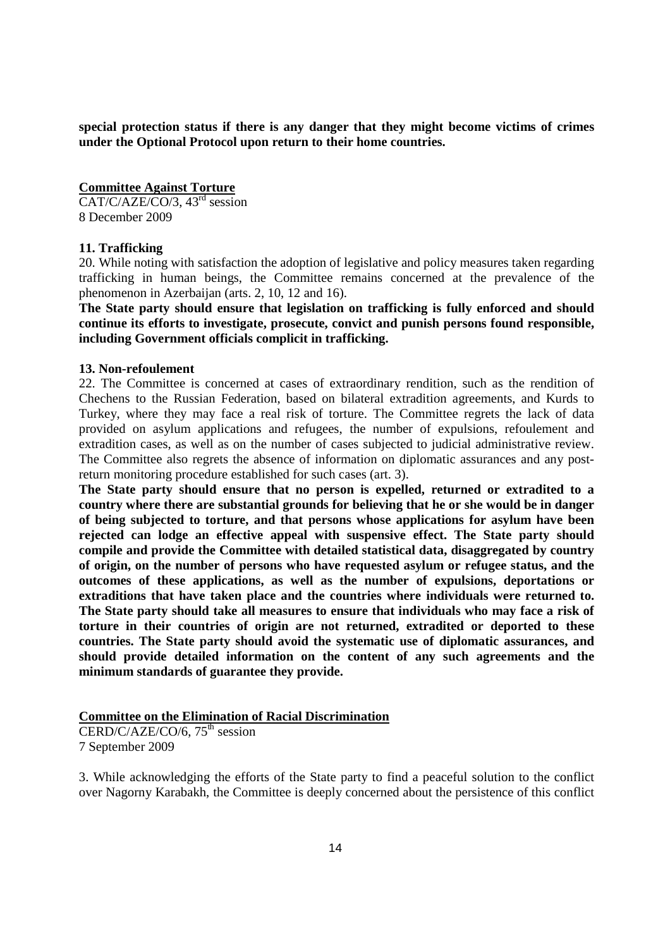**special protection status if there is any danger that they might become victims of crimes under the Optional Protocol upon return to their home countries.** 

### **Committee Against Torture**

 $CAT/C/AZE/CO/3, 43<sup>rd</sup> session$ 8 December 2009

### **11. Trafficking**

20. While noting with satisfaction the adoption of legislative and policy measures taken regarding trafficking in human beings, the Committee remains concerned at the prevalence of the phenomenon in Azerbaijan (arts. 2, 10, 12 and 16).

**The State party should ensure that legislation on trafficking is fully enforced and should continue its efforts to investigate, prosecute, convict and punish persons found responsible, including Government officials complicit in trafficking.** 

#### **13. Non-refoulement**

22. The Committee is concerned at cases of extraordinary rendition, such as the rendition of Chechens to the Russian Federation, based on bilateral extradition agreements, and Kurds to Turkey, where they may face a real risk of torture. The Committee regrets the lack of data provided on asylum applications and refugees, the number of expulsions, refoulement and extradition cases, as well as on the number of cases subjected to judicial administrative review. The Committee also regrets the absence of information on diplomatic assurances and any postreturn monitoring procedure established for such cases (art. 3).

**The State party should ensure that no person is expelled, returned or extradited to a country where there are substantial grounds for believing that he or she would be in danger of being subjected to torture, and that persons whose applications for asylum have been rejected can lodge an effective appeal with suspensive effect. The State party should compile and provide the Committee with detailed statistical data, disaggregated by country of origin, on the number of persons who have requested asylum or refugee status, and the outcomes of these applications, as well as the number of expulsions, deportations or extraditions that have taken place and the countries where individuals were returned to. The State party should take all measures to ensure that individuals who may face a risk of torture in their countries of origin are not returned, extradited or deported to these countries. The State party should avoid the systematic use of diplomatic assurances, and should provide detailed information on the content of any such agreements and the minimum standards of guarantee they provide.** 

### **Committee on the Elimination of Racial Discrimination**

CERD/C/AZE/CO/6,  $75<sup>th</sup>$  session 7 September 2009

3. While acknowledging the efforts of the State party to find a peaceful solution to the conflict over Nagorny Karabakh, the Committee is deeply concerned about the persistence of this conflict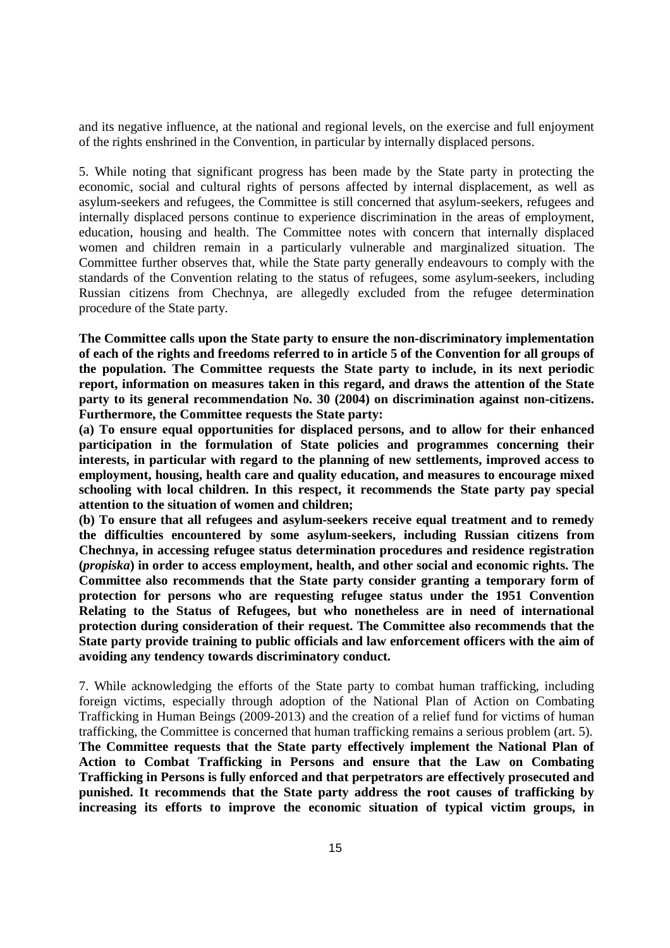and its negative influence, at the national and regional levels, on the exercise and full enjoyment of the rights enshrined in the Convention, in particular by internally displaced persons.

5. While noting that significant progress has been made by the State party in protecting the economic, social and cultural rights of persons affected by internal displacement, as well as asylum-seekers and refugees, the Committee is still concerned that asylum-seekers, refugees and internally displaced persons continue to experience discrimination in the areas of employment, education, housing and health. The Committee notes with concern that internally displaced women and children remain in a particularly vulnerable and marginalized situation. The Committee further observes that, while the State party generally endeavours to comply with the standards of the Convention relating to the status of refugees, some asylum-seekers, including Russian citizens from Chechnya, are allegedly excluded from the refugee determination procedure of the State party.

**The Committee calls upon the State party to ensure the non-discriminatory implementation of each of the rights and freedoms referred to in article 5 of the Convention for all groups of the population. The Committee requests the State party to include, in its next periodic report, information on measures taken in this regard, and draws the attention of the State party to its general recommendation No. 30 (2004) on discrimination against non-citizens. Furthermore, the Committee requests the State party:** 

**(a) To ensure equal opportunities for displaced persons, and to allow for their enhanced participation in the formulation of State policies and programmes concerning their interests, in particular with regard to the planning of new settlements, improved access to employment, housing, health care and quality education, and measures to encourage mixed schooling with local children. In this respect, it recommends the State party pay special attention to the situation of women and children;** 

**(b) To ensure that all refugees and asylum-seekers receive equal treatment and to remedy the difficulties encountered by some asylum-seekers, including Russian citizens from Chechnya, in accessing refugee status determination procedures and residence registration (***propiska***) in order to access employment, health, and other social and economic rights. The Committee also recommends that the State party consider granting a temporary form of protection for persons who are requesting refugee status under the 1951 Convention Relating to the Status of Refugees, but who nonetheless are in need of international protection during consideration of their request. The Committee also recommends that the State party provide training to public officials and law enforcement officers with the aim of avoiding any tendency towards discriminatory conduct.** 

7. While acknowledging the efforts of the State party to combat human trafficking, including foreign victims, especially through adoption of the National Plan of Action on Combating Trafficking in Human Beings (2009-2013) and the creation of a relief fund for victims of human trafficking, the Committee is concerned that human trafficking remains a serious problem (art. 5). **The Committee requests that the State party effectively implement the National Plan of Action to Combat Trafficking in Persons and ensure that the Law on Combating Trafficking in Persons is fully enforced and that perpetrators are effectively prosecuted and punished. It recommends that the State party address the root causes of trafficking by increasing its efforts to improve the economic situation of typical victim groups, in**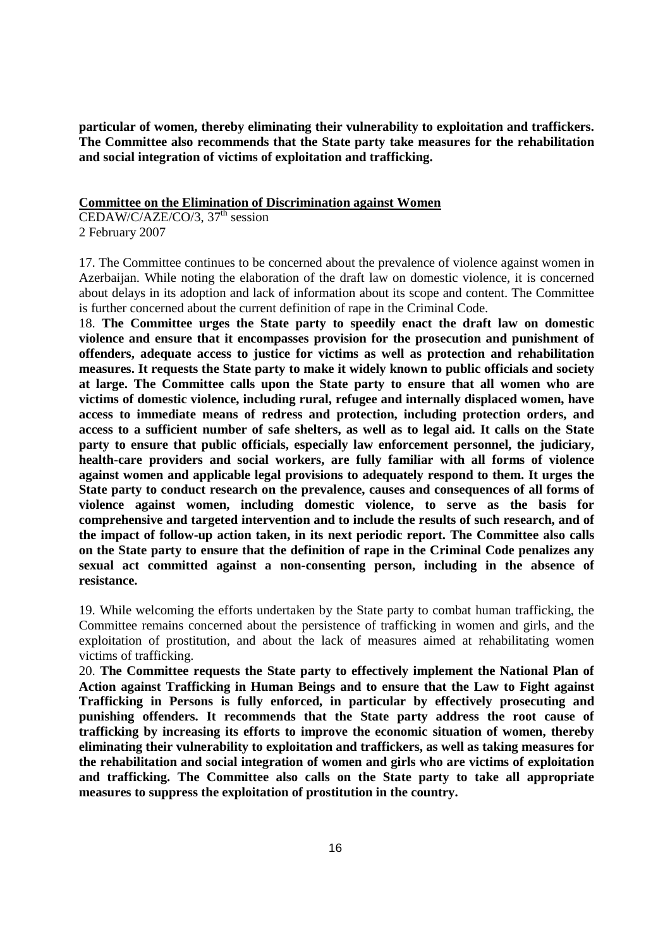**particular of women, thereby eliminating their vulnerability to exploitation and traffickers. The Committee also recommends that the State party take measures for the rehabilitation and social integration of victims of exploitation and trafficking.** 

### **Committee on the Elimination of Discrimination against Women**

 $CEDAW/C/AZE/CO/3$ , 37<sup>th</sup> session 2 February 2007

17. The Committee continues to be concerned about the prevalence of violence against women in Azerbaijan. While noting the elaboration of the draft law on domestic violence, it is concerned about delays in its adoption and lack of information about its scope and content. The Committee is further concerned about the current definition of rape in the Criminal Code.

18. **The Committee urges the State party to speedily enact the draft law on domestic violence and ensure that it encompasses provision for the prosecution and punishment of offenders, adequate access to justice for victims as well as protection and rehabilitation measures. It requests the State party to make it widely known to public officials and society at large. The Committee calls upon the State party to ensure that all women who are victims of domestic violence, including rural, refugee and internally displaced women, have access to immediate means of redress and protection, including protection orders, and access to a sufficient number of safe shelters, as well as to legal aid. It calls on the State party to ensure that public officials, especially law enforcement personnel, the judiciary, health-care providers and social workers, are fully familiar with all forms of violence against women and applicable legal provisions to adequately respond to them. It urges the State party to conduct research on the prevalence, causes and consequences of all forms of violence against women, including domestic violence, to serve as the basis for comprehensive and targeted intervention and to include the results of such research, and of the impact of follow-up action taken, in its next periodic report. The Committee also calls on the State party to ensure that the definition of rape in the Criminal Code penalizes any sexual act committed against a non-consenting person, including in the absence of resistance.** 

19. While welcoming the efforts undertaken by the State party to combat human trafficking, the Committee remains concerned about the persistence of trafficking in women and girls, and the exploitation of prostitution, and about the lack of measures aimed at rehabilitating women victims of trafficking.

20. **The Committee requests the State party to effectively implement the National Plan of Action against Trafficking in Human Beings and to ensure that the Law to Fight against Trafficking in Persons is fully enforced, in particular by effectively prosecuting and punishing offenders. It recommends that the State party address the root cause of trafficking by increasing its efforts to improve the economic situation of women, thereby eliminating their vulnerability to exploitation and traffickers, as well as taking measures for the rehabilitation and social integration of women and girls who are victims of exploitation and trafficking. The Committee also calls on the State party to take all appropriate measures to suppress the exploitation of prostitution in the country.**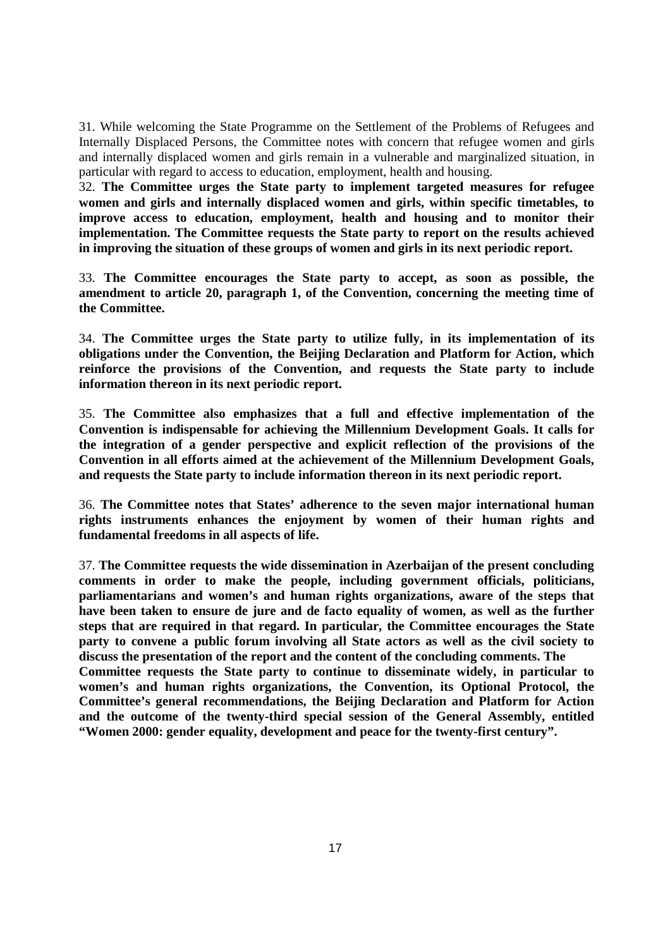31. While welcoming the State Programme on the Settlement of the Problems of Refugees and Internally Displaced Persons, the Committee notes with concern that refugee women and girls and internally displaced women and girls remain in a vulnerable and marginalized situation, in particular with regard to access to education, employment, health and housing.

32. **The Committee urges the State party to implement targeted measures for refugee women and girls and internally displaced women and girls, within specific timetables, to improve access to education, employment, health and housing and to monitor their implementation. The Committee requests the State party to report on the results achieved in improving the situation of these groups of women and girls in its next periodic report.** 

33. **The Committee encourages the State party to accept, as soon as possible, the amendment to article 20, paragraph 1, of the Convention, concerning the meeting time of the Committee.** 

34. **The Committee urges the State party to utilize fully, in its implementation of its obligations under the Convention, the Beijing Declaration and Platform for Action, which reinforce the provisions of the Convention, and requests the State party to include information thereon in its next periodic report.** 

35. **The Committee also emphasizes that a full and effective implementation of the Convention is indispensable for achieving the Millennium Development Goals. It calls for the integration of a gender perspective and explicit reflection of the provisions of the Convention in all efforts aimed at the achievement of the Millennium Development Goals, and requests the State party to include information thereon in its next periodic report.** 

36. **The Committee notes that States' adherence to the seven major international human rights instruments enhances the enjoyment by women of their human rights and fundamental freedoms in all aspects of life.** 

37. **The Committee requests the wide dissemination in Azerbaijan of the present concluding comments in order to make the people, including government officials, politicians, parliamentarians and women's and human rights organizations, aware of the steps that have been taken to ensure de jure and de facto equality of women, as well as the further steps that are required in that regard. In particular, the Committee encourages the State party to convene a public forum involving all State actors as well as the civil society to discuss the presentation of the report and the content of the concluding comments. The Committee requests the State party to continue to disseminate widely, in particular to women's and human rights organizations, the Convention, its Optional Protocol, the Committee's general recommendations, the Beijing Declaration and Platform for Action and the outcome of the twenty-third special session of the General Assembly, entitled "Women 2000: gender equality, development and peace for the twenty-first century".**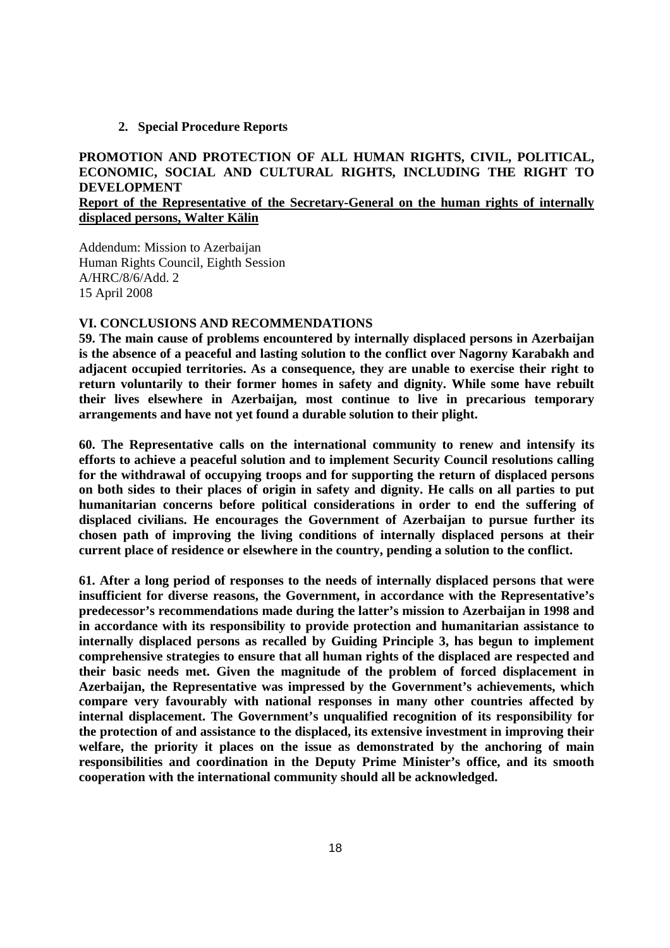#### **2. Special Procedure Reports**

## **PROMOTION AND PROTECTION OF ALL HUMAN RIGHTS, CIVIL, POLITICAL, ECONOMIC, SOCIAL AND CULTURAL RIGHTS, INCLUDING THE RIGHT TO DEVELOPMENT Report of the Representative of the Secretary-General on the human rights of internally displaced persons, Walter Kälin**

Addendum: Mission to Azerbaijan Human Rights Council, Eighth Session A/HRC/8/6/Add. 2 15 April 2008

#### **VI. CONCLUSIONS AND RECOMMENDATIONS**

**59. The main cause of problems encountered by internally displaced persons in Azerbaijan is the absence of a peaceful and lasting solution to the conflict over Nagorny Karabakh and adjacent occupied territories. As a consequence, they are unable to exercise their right to return voluntarily to their former homes in safety and dignity. While some have rebuilt their lives elsewhere in Azerbaijan, most continue to live in precarious temporary arrangements and have not yet found a durable solution to their plight.** 

**60. The Representative calls on the international community to renew and intensify its efforts to achieve a peaceful solution and to implement Security Council resolutions calling for the withdrawal of occupying troops and for supporting the return of displaced persons on both sides to their places of origin in safety and dignity. He calls on all parties to put humanitarian concerns before political considerations in order to end the suffering of displaced civilians. He encourages the Government of Azerbaijan to pursue further its chosen path of improving the living conditions of internally displaced persons at their current place of residence or elsewhere in the country, pending a solution to the conflict.** 

**61. After a long period of responses to the needs of internally displaced persons that were insufficient for diverse reasons, the Government, in accordance with the Representative's predecessor's recommendations made during the latter's mission to Azerbaijan in 1998 and in accordance with its responsibility to provide protection and humanitarian assistance to internally displaced persons as recalled by Guiding Principle 3, has begun to implement comprehensive strategies to ensure that all human rights of the displaced are respected and their basic needs met. Given the magnitude of the problem of forced displacement in Azerbaijan, the Representative was impressed by the Government's achievements, which compare very favourably with national responses in many other countries affected by internal displacement. The Government's unqualified recognition of its responsibility for the protection of and assistance to the displaced, its extensive investment in improving their welfare, the priority it places on the issue as demonstrated by the anchoring of main responsibilities and coordination in the Deputy Prime Minister's office, and its smooth cooperation with the international community should all be acknowledged.**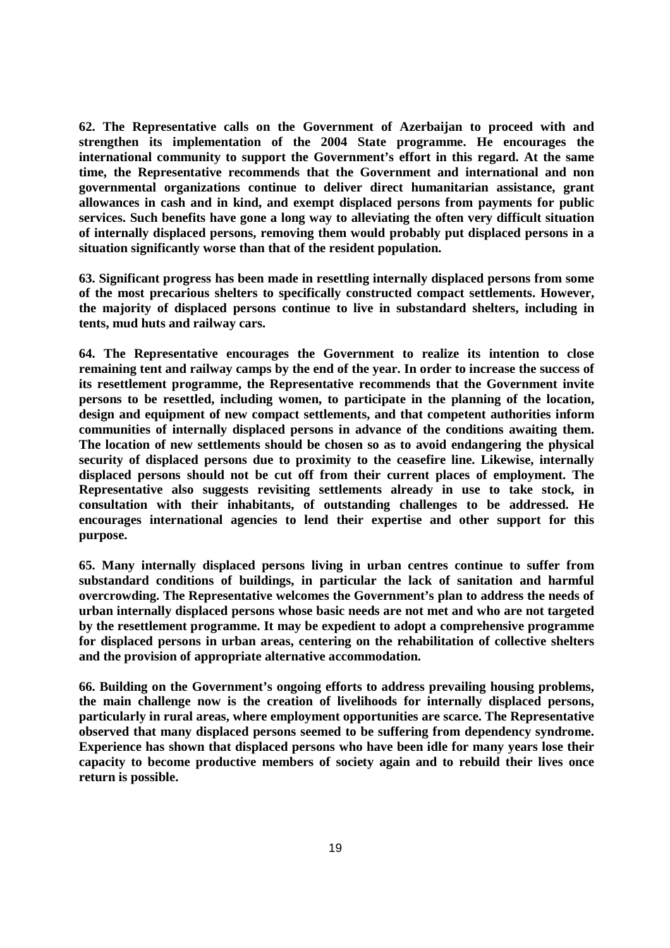**62. The Representative calls on the Government of Azerbaijan to proceed with and strengthen its implementation of the 2004 State programme. He encourages the international community to support the Government's effort in this regard. At the same time, the Representative recommends that the Government and international and non governmental organizations continue to deliver direct humanitarian assistance, grant allowances in cash and in kind, and exempt displaced persons from payments for public services. Such benefits have gone a long way to alleviating the often very difficult situation of internally displaced persons, removing them would probably put displaced persons in a situation significantly worse than that of the resident population.** 

**63. Significant progress has been made in resettling internally displaced persons from some of the most precarious shelters to specifically constructed compact settlements. However, the majority of displaced persons continue to live in substandard shelters, including in tents, mud huts and railway cars.** 

**64. The Representative encourages the Government to realize its intention to close remaining tent and railway camps by the end of the year. In order to increase the success of its resettlement programme, the Representative recommends that the Government invite persons to be resettled, including women, to participate in the planning of the location, design and equipment of new compact settlements, and that competent authorities inform communities of internally displaced persons in advance of the conditions awaiting them. The location of new settlements should be chosen so as to avoid endangering the physical security of displaced persons due to proximity to the ceasefire line. Likewise, internally displaced persons should not be cut off from their current places of employment. The Representative also suggests revisiting settlements already in use to take stock, in consultation with their inhabitants, of outstanding challenges to be addressed. He encourages international agencies to lend their expertise and other support for this purpose.** 

**65. Many internally displaced persons living in urban centres continue to suffer from substandard conditions of buildings, in particular the lack of sanitation and harmful overcrowding. The Representative welcomes the Government's plan to address the needs of urban internally displaced persons whose basic needs are not met and who are not targeted by the resettlement programme. It may be expedient to adopt a comprehensive programme for displaced persons in urban areas, centering on the rehabilitation of collective shelters and the provision of appropriate alternative accommodation.** 

**66. Building on the Government's ongoing efforts to address prevailing housing problems, the main challenge now is the creation of livelihoods for internally displaced persons, particularly in rural areas, where employment opportunities are scarce. The Representative observed that many displaced persons seemed to be suffering from dependency syndrome. Experience has shown that displaced persons who have been idle for many years lose their capacity to become productive members of society again and to rebuild their lives once return is possible.**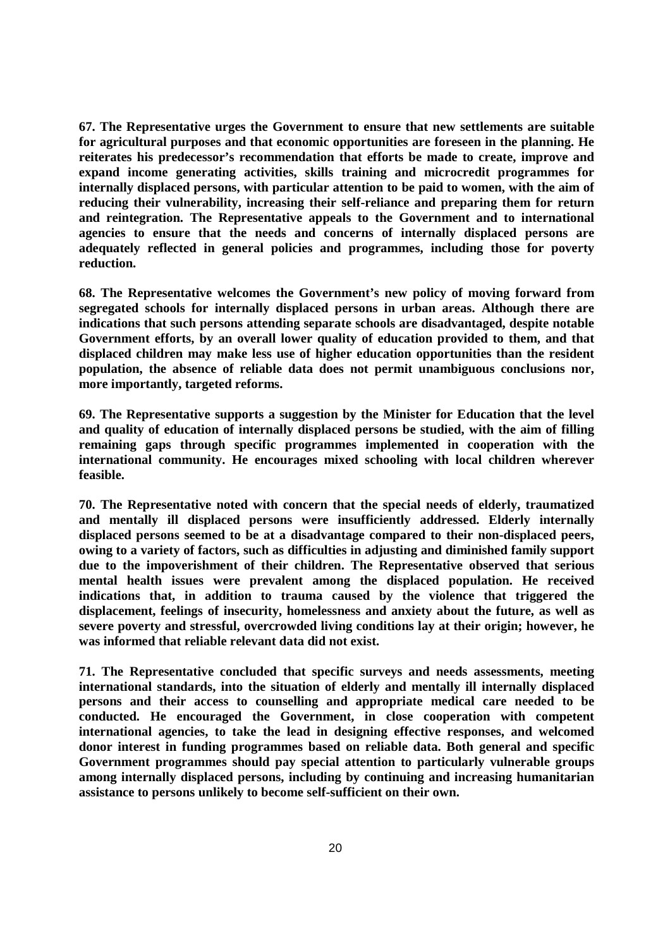**67. The Representative urges the Government to ensure that new settlements are suitable for agricultural purposes and that economic opportunities are foreseen in the planning. He reiterates his predecessor's recommendation that efforts be made to create, improve and expand income generating activities, skills training and microcredit programmes for internally displaced persons, with particular attention to be paid to women, with the aim of reducing their vulnerability, increasing their self-reliance and preparing them for return and reintegration. The Representative appeals to the Government and to international agencies to ensure that the needs and concerns of internally displaced persons are adequately reflected in general policies and programmes, including those for poverty reduction.** 

**68. The Representative welcomes the Government's new policy of moving forward from segregated schools for internally displaced persons in urban areas. Although there are indications that such persons attending separate schools are disadvantaged, despite notable Government efforts, by an overall lower quality of education provided to them, and that displaced children may make less use of higher education opportunities than the resident population, the absence of reliable data does not permit unambiguous conclusions nor, more importantly, targeted reforms.** 

**69. The Representative supports a suggestion by the Minister for Education that the level and quality of education of internally displaced persons be studied, with the aim of filling remaining gaps through specific programmes implemented in cooperation with the international community. He encourages mixed schooling with local children wherever feasible.** 

**70. The Representative noted with concern that the special needs of elderly, traumatized and mentally ill displaced persons were insufficiently addressed. Elderly internally displaced persons seemed to be at a disadvantage compared to their non-displaced peers, owing to a variety of factors, such as difficulties in adjusting and diminished family support due to the impoverishment of their children. The Representative observed that serious mental health issues were prevalent among the displaced population. He received indications that, in addition to trauma caused by the violence that triggered the displacement, feelings of insecurity, homelessness and anxiety about the future, as well as severe poverty and stressful, overcrowded living conditions lay at their origin; however, he was informed that reliable relevant data did not exist.** 

**71. The Representative concluded that specific surveys and needs assessments, meeting international standards, into the situation of elderly and mentally ill internally displaced persons and their access to counselling and appropriate medical care needed to be conducted. He encouraged the Government, in close cooperation with competent international agencies, to take the lead in designing effective responses, and welcomed donor interest in funding programmes based on reliable data. Both general and specific Government programmes should pay special attention to particularly vulnerable groups among internally displaced persons, including by continuing and increasing humanitarian assistance to persons unlikely to become self-sufficient on their own.**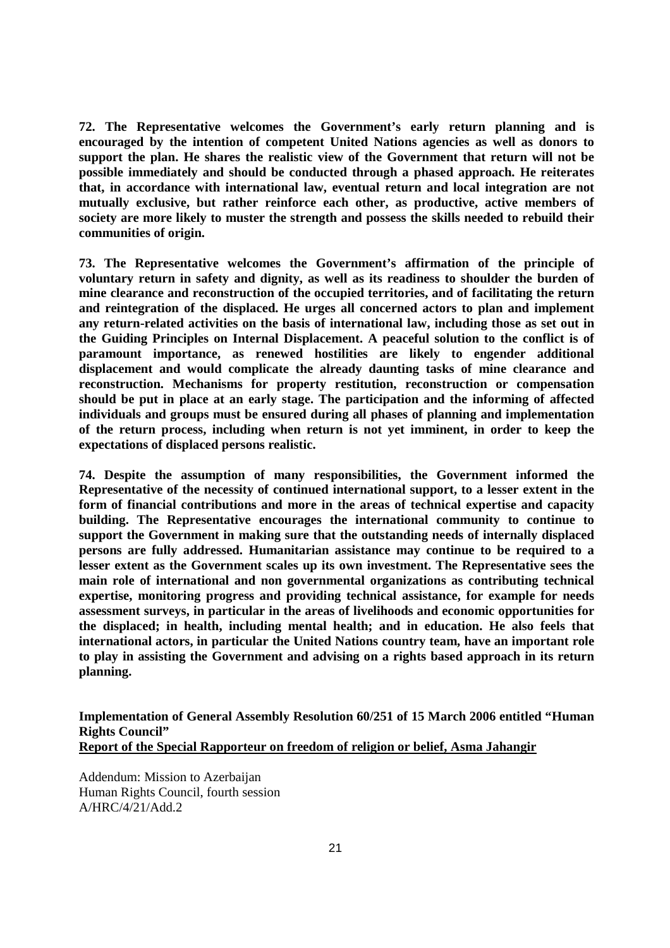**72. The Representative welcomes the Government's early return planning and is encouraged by the intention of competent United Nations agencies as well as donors to support the plan. He shares the realistic view of the Government that return will not be possible immediately and should be conducted through a phased approach. He reiterates that, in accordance with international law, eventual return and local integration are not mutually exclusive, but rather reinforce each other, as productive, active members of society are more likely to muster the strength and possess the skills needed to rebuild their communities of origin.** 

**73. The Representative welcomes the Government's affirmation of the principle of voluntary return in safety and dignity, as well as its readiness to shoulder the burden of mine clearance and reconstruction of the occupied territories, and of facilitating the return and reintegration of the displaced. He urges all concerned actors to plan and implement any return-related activities on the basis of international law, including those as set out in the Guiding Principles on Internal Displacement. A peaceful solution to the conflict is of paramount importance, as renewed hostilities are likely to engender additional displacement and would complicate the already daunting tasks of mine clearance and reconstruction. Mechanisms for property restitution, reconstruction or compensation should be put in place at an early stage. The participation and the informing of affected individuals and groups must be ensured during all phases of planning and implementation of the return process, including when return is not yet imminent, in order to keep the expectations of displaced persons realistic.** 

**74. Despite the assumption of many responsibilities, the Government informed the Representative of the necessity of continued international support, to a lesser extent in the form of financial contributions and more in the areas of technical expertise and capacity building. The Representative encourages the international community to continue to support the Government in making sure that the outstanding needs of internally displaced persons are fully addressed. Humanitarian assistance may continue to be required to a lesser extent as the Government scales up its own investment. The Representative sees the main role of international and non governmental organizations as contributing technical expertise, monitoring progress and providing technical assistance, for example for needs assessment surveys, in particular in the areas of livelihoods and economic opportunities for the displaced; in health, including mental health; and in education. He also feels that international actors, in particular the United Nations country team, have an important role to play in assisting the Government and advising on a rights based approach in its return planning.** 

**Implementation of General Assembly Resolution 60/251 of 15 March 2006 entitled "Human Rights Council" Report of the Special Rapporteur on freedom of religion or belief, Asma Jahangir** 

Addendum: Mission to Azerbaijan Human Rights Council, fourth session A/HRC/4/21/Add.2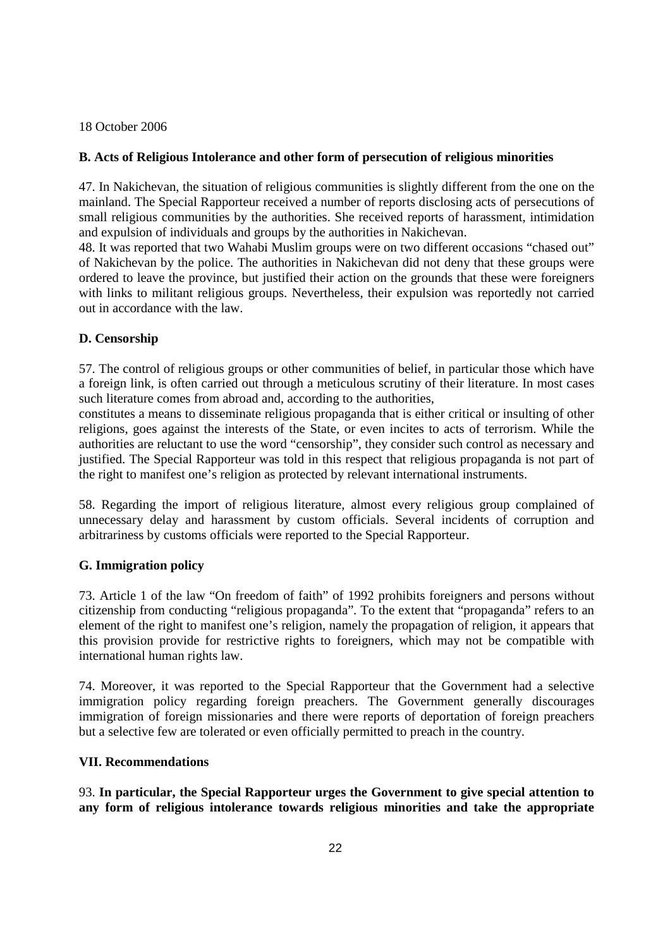18 October 2006

## **B. Acts of Religious Intolerance and other form of persecution of religious minorities**

47. In Nakichevan, the situation of religious communities is slightly different from the one on the mainland. The Special Rapporteur received a number of reports disclosing acts of persecutions of small religious communities by the authorities. She received reports of harassment, intimidation and expulsion of individuals and groups by the authorities in Nakichevan.

48. It was reported that two Wahabi Muslim groups were on two different occasions "chased out" of Nakichevan by the police. The authorities in Nakichevan did not deny that these groups were ordered to leave the province, but justified their action on the grounds that these were foreigners with links to militant religious groups. Nevertheless, their expulsion was reportedly not carried out in accordance with the law.

# **D. Censorship**

57. The control of religious groups or other communities of belief, in particular those which have a foreign link, is often carried out through a meticulous scrutiny of their literature. In most cases such literature comes from abroad and, according to the authorities,

constitutes a means to disseminate religious propaganda that is either critical or insulting of other religions, goes against the interests of the State, or even incites to acts of terrorism. While the authorities are reluctant to use the word "censorship", they consider such control as necessary and justified. The Special Rapporteur was told in this respect that religious propaganda is not part of the right to manifest one's religion as protected by relevant international instruments.

58. Regarding the import of religious literature, almost every religious group complained of unnecessary delay and harassment by custom officials. Several incidents of corruption and arbitrariness by customs officials were reported to the Special Rapporteur.

## **G. Immigration policy**

73. Article 1 of the law "On freedom of faith" of 1992 prohibits foreigners and persons without citizenship from conducting "religious propaganda". To the extent that "propaganda" refers to an element of the right to manifest one's religion, namely the propagation of religion, it appears that this provision provide for restrictive rights to foreigners, which may not be compatible with international human rights law.

74. Moreover, it was reported to the Special Rapporteur that the Government had a selective immigration policy regarding foreign preachers. The Government generally discourages immigration of foreign missionaries and there were reports of deportation of foreign preachers but a selective few are tolerated or even officially permitted to preach in the country.

## **VII. Recommendations**

93. **In particular, the Special Rapporteur urges the Government to give special attention to any form of religious intolerance towards religious minorities and take the appropriate**